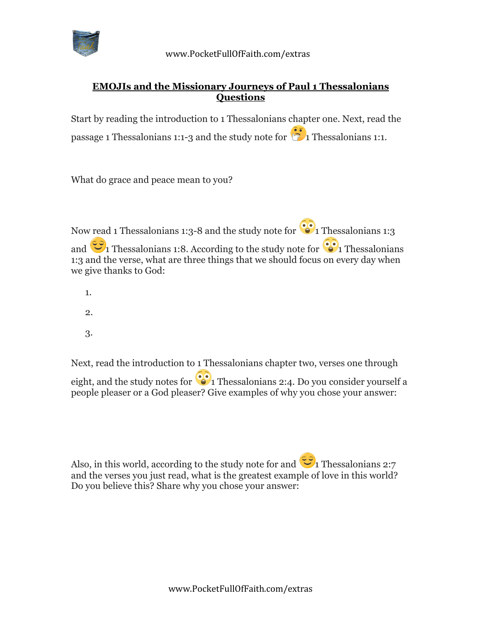

## **EMOJIs and the Missionary Journeys of Paul 1 Thessalonians Questions**

Start by reading the introduction to 1 Thessalonians chapter one. Next, read the passage 1 Thessalonians 1:1-3 and the study note for  $\frac{1}{10}$  Thessalonians 1:1.

What do grace and peace mean to you?

Now read 1 Thessalonians 1:3-8 and the study note for  $\binom{•}{0}$  Thessalonians 1:3 and  $\sum_{i=1}^{\infty}$  Thessalonians 1:8. According to the study note for  $\sum_{i=1}^{\infty}$  Thessalonians 1:3 and the verse, what are three things that we should focus on every day when we give thanks to God:

- 1.
- 2.
- 3.

Next, read the introduction to 1 Thessalonians chapter two, verses one through eight, and the study notes for  $\bullet$  1 Thessalonians 2:4. Do you consider yourself a people pleaser or a God pleaser? Give examples of why you chose your answer:

Also, in this world, according to the study note for and  $\ddot{\bullet}$  1 Thessalonians 2:7 and the verses you just read, what is the greatest example of love in this world? Do you believe this? Share why you chose your answer: